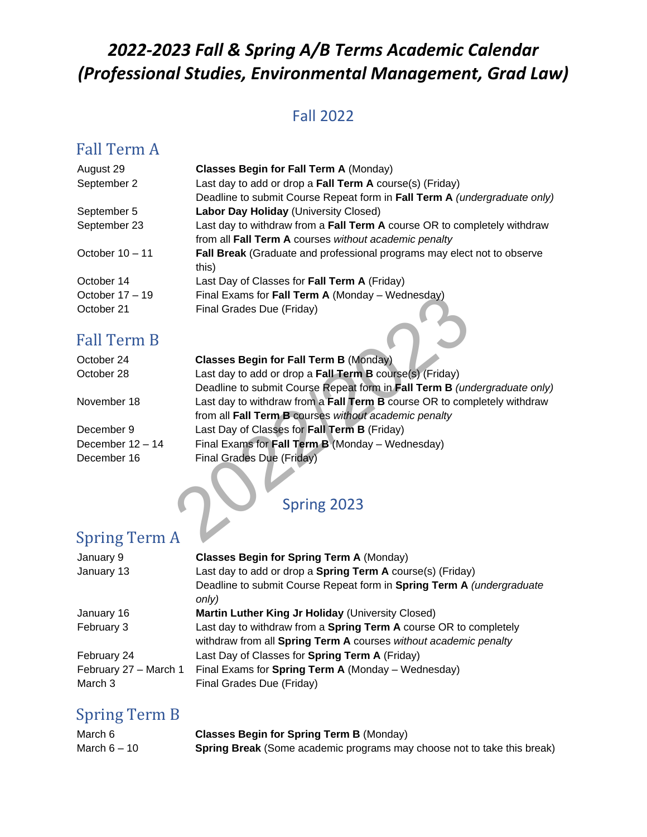# *2022-2023 Fall & Spring A/B Terms Academic Calendar (Professional Studies, Environmental Management, Grad Law)*

#### Fall 2022

### Fall Term A

| August 29         | <b>Classes Begin for Fall Term A (Monday)</b>                             |
|-------------------|---------------------------------------------------------------------------|
| September 2       | Last day to add or drop a Fall Term A course(s) (Friday)                  |
|                   | Deadline to submit Course Repeat form in Fall Term A (undergraduate only) |
| September 5       | Labor Day Holiday (University Closed)                                     |
| September 23      | Last day to withdraw from a Fall Term A course OR to completely withdraw  |
|                   | from all Fall Term A courses without academic penalty                     |
| October $10 - 11$ | Fall Break (Graduate and professional programs may elect not to observe   |
|                   | this)                                                                     |
| October 14        | Last Day of Classes for Fall Term A (Friday)                              |
| October $17 - 19$ | Final Exams for Fall Term A (Monday - Wednesday)                          |
| October 21        | Final Grades Due (Friday)                                                 |
|                   |                                                                           |

### Fall Term B

| October 17 – 19  | Final Exams for Fall Term A (Monday – Wednesday)                          |
|------------------|---------------------------------------------------------------------------|
| October 21       | Final Grades Due (Friday)                                                 |
| Fall Term B      |                                                                           |
| October 24       | <b>Classes Begin for Fall Term B (Monday)</b>                             |
| October 28       | Last day to add or drop a Fall Term B course(s) (Friday)                  |
|                  | Deadline to submit Course Repeat form in Fall Term B (undergraduate only) |
| November 18      | Last day to withdraw from a Fall Term B course OR to completely withdraw  |
|                  | from all Fall Term B courses without academic penalty                     |
| December 9       | Last Day of Classes for Fall Term B (Friday)                              |
| December 12 – 14 | Final Exams for Fall Term B (Monday – Wednesday)                          |
| December 16      | Final Grades Due (Friday)                                                 |
|                  | Spring 2023                                                               |
|                  |                                                                           |
| Spring Term A    |                                                                           |

# Spring Term A

| January 9             | <b>Classes Begin for Spring Term A (Monday)</b>                                |
|-----------------------|--------------------------------------------------------------------------------|
| January 13            | Last day to add or drop a <b>Spring Term A</b> course(s) (Friday)              |
|                       | Deadline to submit Course Repeat form in Spring Term A (undergraduate<br>only) |
| January 16            | Martin Luther King Jr Holiday (University Closed)                              |
| February 3            | Last day to withdraw from a Spring Term A course OR to completely              |
|                       | withdraw from all Spring Term A courses without academic penalty               |
| February 24           | Last Day of Classes for Spring Term A (Friday)                                 |
| February 27 - March 1 | Final Exams for Spring Term A (Monday – Wednesday)                             |
| March 3               | Final Grades Due (Friday)                                                      |

#### Spring Term B

| March 6        | <b>Classes Begin for Spring Term B (Monday)</b>                                |
|----------------|--------------------------------------------------------------------------------|
| March $6 - 10$ | <b>Spring Break</b> (Some academic programs may choose not to take this break) |